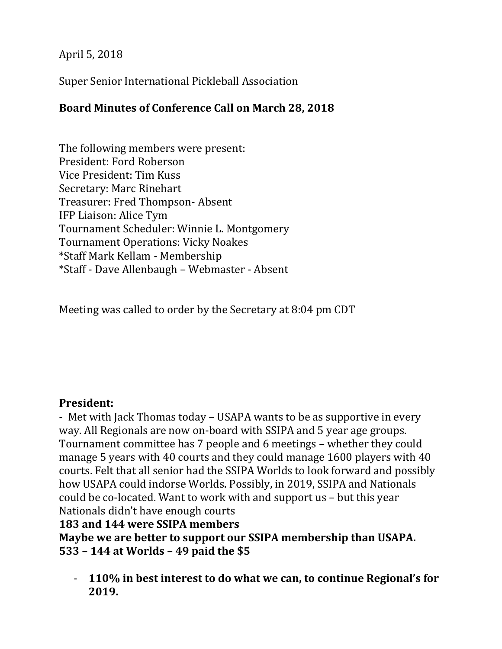April 5, 2018

Super Senior International Pickleball Association

## **Board Minutes of Conference Call on March 28, 2018**

The following members were present: President: Ford Roberson Vice President: Tim Kuss Secretary: Marc Rinehart Treasurer: Fred Thompson- Absent IFP Liaison: Alice Tym Tournament Scheduler: Winnie L. Montgomery Tournament Operations: Vicky Noakes \*Staff Mark Kellam - Membership \*Staff - Dave Allenbaugh – Webmaster - Absent

Meeting was called to order by the Secretary at 8:04 pm CDT

#### **President:**

- Met with Jack Thomas today – USAPA wants to be as supportive in every way. All Regionals are now on-board with SSIPA and 5 year age groups. Tournament committee has 7 people and 6 meetings – whether they could manage 5 years with 40 courts and they could manage 1600 players with 40 courts. Felt that all senior had the SSIPA Worlds to look forward and possibly how USAPA could indorse Worlds. Possibly, in 2019, SSIPA and Nationals could be co-located. Want to work with and support us – but this year Nationals didn't have enough courts

**183 and 144 were SSIPA members**

**Maybe we are better to support our SSIPA membership than USAPA. 533 – 144 at Worlds – 49 paid the \$5**

- **110% in best interest to do what we can, to continue Regional's for 2019.**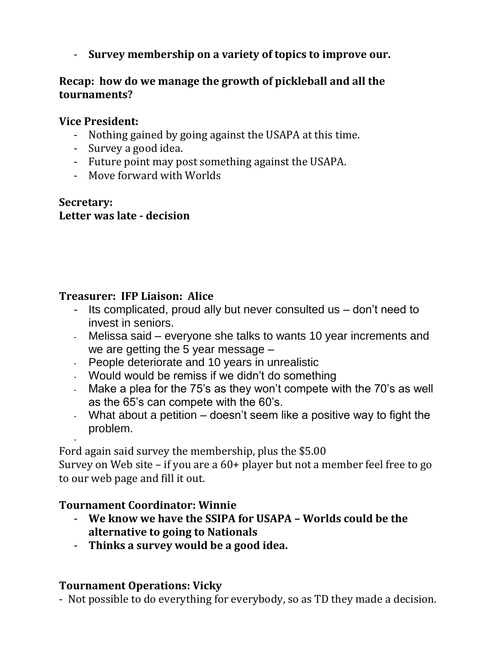- **Survey membership on a variety of topics to improve our.**

## **Recap: how do we manage the growth of pickleball and all the tournaments?**

### **Vice President:**

- Nothing gained by going against the USAPA at this time.
- Survey a good idea.
- Future point may post something against the USAPA.
- Move forward with Worlds

### **Secretary: Letter was late - decision**

## **Treasurer: IFP Liaison: Alice**

- Its complicated, proud ally but never consulted us don't need to invest in seniors.
- Melissa said everyone she talks to wants 10 year increments and we are getting the 5 year message –
- People deteriorate and 10 years in unrealistic
- Would would be remiss if we didn't do something
- Make a plea for the 75's as they won't compete with the 70's as well as the 65's can compete with the 60's.
- What about a petition doesn't seem like a positive way to fight the problem.

- Ford again said survey the membership, plus the \$5.00

Survey on Web site – if you are a 60+ player but not a member feel free to go to our web page and fill it out.

## **Tournament Coordinator: Winnie**

- **We know we have the SSIPA for USAPA – Worlds could be the alternative to going to Nationals**
- **Thinks a survey would be a good idea.**

# **Tournament Operations: Vicky**

- Not possible to do everything for everybody, so as TD they made a decision.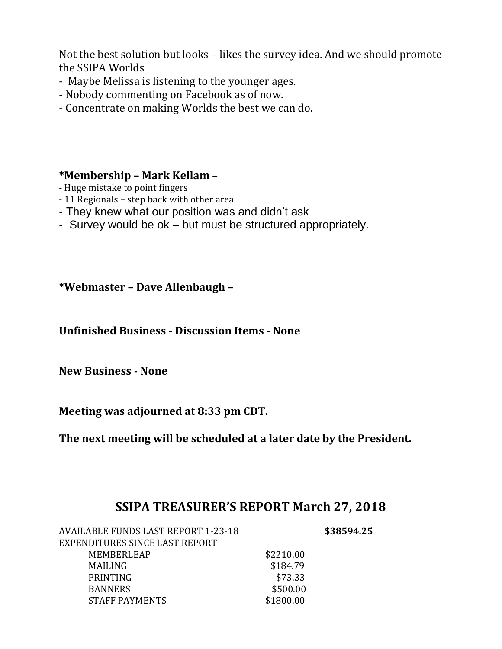Not the best solution but looks – likes the survey idea. And we should promote the SSIPA Worlds

- Maybe Melissa is listening to the younger ages.
- Nobody commenting on Facebook as of now.
- Concentrate on making Worlds the best we can do.

#### **\*Membership – Mark Kellam** –

- Huge mistake to point fingers
- 11 Regionals step back with other area
- They knew what our position was and didn't ask
- Survey would be ok but must be structured appropriately.

**\*Webmaster – Dave Allenbaugh –**

**Unfinished Business - Discussion Items - None**

**New Business - None**

**Meeting was adjourned at 8:33 pm CDT.**

**The next meeting will be scheduled at a later date by the President.**

# **SSIPA TREASURER'S REPORT March 27, 2018**

| <b>AVAILABLE FUNDS LAST REPORT 1-23-18</b> | \$38594.25 |
|--------------------------------------------|------------|
|                                            |            |
| \$2210.00                                  |            |
| \$184.79                                   |            |
| \$73.33                                    |            |
| \$500.00                                   |            |
| \$1800.00                                  |            |
|                                            |            |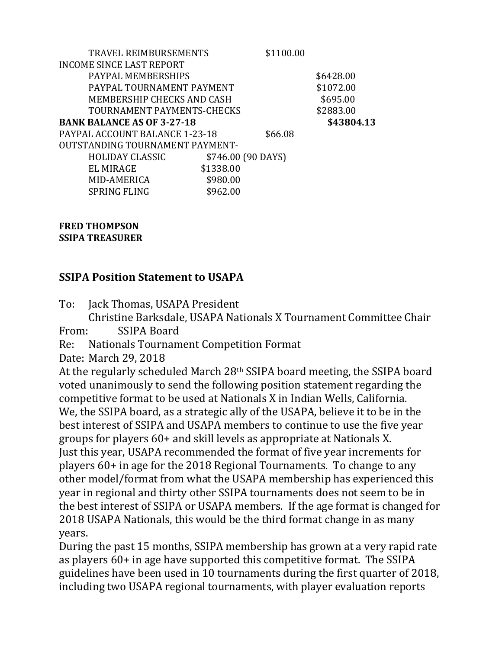| TRAVEL REIMBURSEMENTS                  |           | \$1100.00          |            |
|----------------------------------------|-----------|--------------------|------------|
| <b>INCOME SINCE LAST REPORT</b>        |           |                    |            |
| PAYPAL MEMBERSHIPS                     |           |                    | \$6428.00  |
| PAYPAL TOURNAMENT PAYMENT              |           |                    | \$1072.00  |
| MEMBERSHIP CHECKS AND CASH             |           |                    | \$695.00   |
| TOURNAMENT PAYMENTS-CHECKS             |           |                    | \$2883.00  |
| <b>BANK BALANCE AS OF 3-27-18</b>      |           |                    | \$43804.13 |
| PAYPAL ACCOUNT BALANCE 1-23-18         |           | \$66.08            |            |
| <b>OUTSTANDING TOURNAMENT PAYMENT-</b> |           |                    |            |
| <b>HOLIDAY CLASSIC</b>                 |           | \$746.00 (90 DAYS) |            |
| EL MIRAGE                              | \$1338.00 |                    |            |
| MID-AMERICA                            | \$980.00  |                    |            |
| <b>SPRING FLING</b>                    | \$962.00  |                    |            |

**FRED THOMPSON SSIPA TREASURER**

#### **SSIPA Position Statement to USAPA**

To: Jack Thomas, USAPA President

Christine Barksdale, USAPA Nationals X Tournament Committee Chair From: SSIPA Board

Re: Nationals Tournament Competition Format

Date: March 29, 2018

At the regularly scheduled March 28th SSIPA board meeting, the SSIPA board voted unanimously to send the following position statement regarding the competitive format to be used at Nationals X in Indian Wells, California. We, the SSIPA board, as a strategic ally of the USAPA, believe it to be in the best interest of SSIPA and USAPA members to continue to use the five year groups for players 60+ and skill levels as appropriate at Nationals X. Just this year, USAPA recommended the format of five year increments for players 60+ in age for the 2018 Regional Tournaments. To change to any other model/format from what the USAPA membership has experienced this year in regional and thirty other SSIPA tournaments does not seem to be in the best interest of SSIPA or USAPA members. If the age format is changed for 2018 USAPA Nationals, this would be the third format change in as many years.

During the past 15 months, SSIPA membership has grown at a very rapid rate as players 60+ in age have supported this competitive format. The SSIPA guidelines have been used in 10 tournaments during the first quarter of 2018, including two USAPA regional tournaments, with player evaluation reports